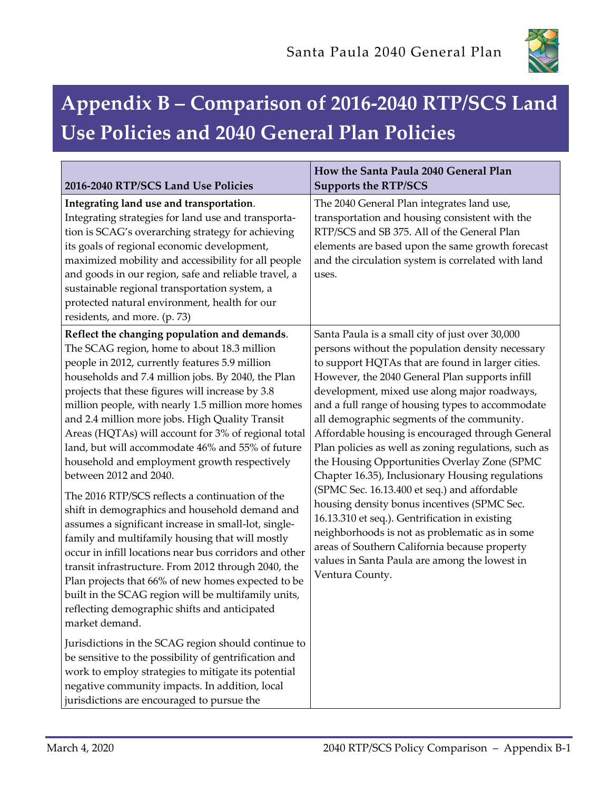

## **Appendix B – Comparison of 2016-2040 RTP/SCS Land Use Policies and 2040 General Plan Policies**

| 2016-2040 RTP/SCS Land Use Policies                                                                                                                                                                                                                                                                                                                                                                                                                                                                                                                                                                                                                                                                                                                                                                                                                                                                                                                                                                                                                                                                                                                                                                                                                                                                                                           | How the Santa Paula 2040 General Plan<br><b>Supports the RTP/SCS</b>                                                                                                                                                                                                                                                                                                                                                                                                                                                                                                                                                                                                                                                                                                                                                                                                                                 |
|-----------------------------------------------------------------------------------------------------------------------------------------------------------------------------------------------------------------------------------------------------------------------------------------------------------------------------------------------------------------------------------------------------------------------------------------------------------------------------------------------------------------------------------------------------------------------------------------------------------------------------------------------------------------------------------------------------------------------------------------------------------------------------------------------------------------------------------------------------------------------------------------------------------------------------------------------------------------------------------------------------------------------------------------------------------------------------------------------------------------------------------------------------------------------------------------------------------------------------------------------------------------------------------------------------------------------------------------------|------------------------------------------------------------------------------------------------------------------------------------------------------------------------------------------------------------------------------------------------------------------------------------------------------------------------------------------------------------------------------------------------------------------------------------------------------------------------------------------------------------------------------------------------------------------------------------------------------------------------------------------------------------------------------------------------------------------------------------------------------------------------------------------------------------------------------------------------------------------------------------------------------|
| Integrating land use and transportation.<br>Integrating strategies for land use and transporta-<br>tion is SCAG's overarching strategy for achieving<br>its goals of regional economic development,<br>maximized mobility and accessibility for all people<br>and goods in our region, safe and reliable travel, a<br>sustainable regional transportation system, a<br>protected natural environment, health for our<br>residents, and more. (p. 73)                                                                                                                                                                                                                                                                                                                                                                                                                                                                                                                                                                                                                                                                                                                                                                                                                                                                                          | The 2040 General Plan integrates land use,<br>transportation and housing consistent with the<br>RTP/SCS and SB 375. All of the General Plan<br>elements are based upon the same growth forecast<br>and the circulation system is correlated with land<br>uses.                                                                                                                                                                                                                                                                                                                                                                                                                                                                                                                                                                                                                                       |
| Reflect the changing population and demands.<br>The SCAG region, home to about 18.3 million<br>people in 2012, currently features 5.9 million<br>households and 7.4 million jobs. By 2040, the Plan<br>projects that these figures will increase by 3.8<br>million people, with nearly 1.5 million more homes<br>and 2.4 million more jobs. High Quality Transit<br>Areas (HQTAs) will account for 3% of regional total<br>land, but will accommodate 46% and 55% of future<br>household and employment growth respectively<br>between 2012 and 2040.<br>The 2016 RTP/SCS reflects a continuation of the<br>shift in demographics and household demand and<br>assumes a significant increase in small-lot, single-<br>family and multifamily housing that will mostly<br>occur in infill locations near bus corridors and other<br>transit infrastructure. From 2012 through 2040, the<br>Plan projects that 66% of new homes expected to be<br>built in the SCAG region will be multifamily units,<br>reflecting demographic shifts and anticipated<br>market demand.<br>Jurisdictions in the SCAG region should continue to<br>be sensitive to the possibility of gentrification and<br>work to employ strategies to mitigate its potential<br>negative community impacts. In addition, local<br>jurisdictions are encouraged to pursue the | Santa Paula is a small city of just over 30,000<br>persons without the population density necessary<br>to support HQTAs that are found in larger cities.<br>However, the 2040 General Plan supports infill<br>development, mixed use along major roadways,<br>and a full range of housing types to accommodate<br>all demographic segments of the community.<br>Affordable housing is encouraged through General<br>Plan policies as well as zoning regulations, such as<br>the Housing Opportunities Overlay Zone (SPMC<br>Chapter 16.35), Inclusionary Housing regulations<br>(SPMC Sec. 16.13.400 et seq.) and affordable<br>housing density bonus incentives (SPMC Sec.<br>16.13.310 et seq.). Gentrification in existing<br>neighborhoods is not as problematic as in some<br>areas of Southern California because property<br>values in Santa Paula are among the lowest in<br>Ventura County. |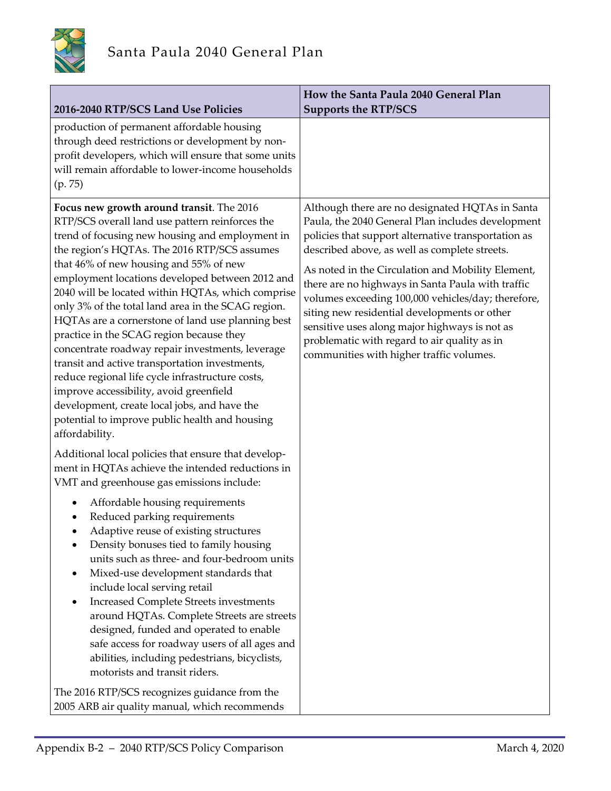

| 2016-2040 RTP/SCS Land Use Policies                                                                                                                                                                                                                                                                                                                                                                                                                                                                                                                                                                                                                                                                                                                                                                                               | How the Santa Paula 2040 General Plan<br><b>Supports the RTP/SCS</b>                                                                                                                                                                                                                                                                                                                                                                                                                                                                                                      |
|-----------------------------------------------------------------------------------------------------------------------------------------------------------------------------------------------------------------------------------------------------------------------------------------------------------------------------------------------------------------------------------------------------------------------------------------------------------------------------------------------------------------------------------------------------------------------------------------------------------------------------------------------------------------------------------------------------------------------------------------------------------------------------------------------------------------------------------|---------------------------------------------------------------------------------------------------------------------------------------------------------------------------------------------------------------------------------------------------------------------------------------------------------------------------------------------------------------------------------------------------------------------------------------------------------------------------------------------------------------------------------------------------------------------------|
| production of permanent affordable housing<br>through deed restrictions or development by non-<br>profit developers, which will ensure that some units<br>will remain affordable to lower-income households<br>(p. 75)                                                                                                                                                                                                                                                                                                                                                                                                                                                                                                                                                                                                            |                                                                                                                                                                                                                                                                                                                                                                                                                                                                                                                                                                           |
| Focus new growth around transit. The 2016<br>RTP/SCS overall land use pattern reinforces the<br>trend of focusing new housing and employment in<br>the region's HQTAs. The 2016 RTP/SCS assumes<br>that 46% of new housing and 55% of new<br>employment locations developed between 2012 and<br>2040 will be located within HQTAs, which comprise<br>only 3% of the total land area in the SCAG region.<br>HQTAs are a cornerstone of land use planning best<br>practice in the SCAG region because they<br>concentrate roadway repair investments, leverage<br>transit and active transportation investments,<br>reduce regional life cycle infrastructure costs,<br>improve accessibility, avoid greenfield<br>development, create local jobs, and have the<br>potential to improve public health and housing<br>affordability. | Although there are no designated HQTAs in Santa<br>Paula, the 2040 General Plan includes development<br>policies that support alternative transportation as<br>described above, as well as complete streets.<br>As noted in the Circulation and Mobility Element,<br>there are no highways in Santa Paula with traffic<br>volumes exceeding 100,000 vehicles/day; therefore,<br>siting new residential developments or other<br>sensitive uses along major highways is not as<br>problematic with regard to air quality as in<br>communities with higher traffic volumes. |
| Additional local policies that ensure that develop-<br>ment in HQTAs achieve the intended reductions in<br>VMT and greenhouse gas emissions include:                                                                                                                                                                                                                                                                                                                                                                                                                                                                                                                                                                                                                                                                              |                                                                                                                                                                                                                                                                                                                                                                                                                                                                                                                                                                           |
| Affordable housing requirements<br>Reduced parking requirements<br>Adaptive reuse of existing structures<br>Density bonuses tied to family housing<br>units such as three- and four-bedroom units<br>Mixed-use development standards that<br>include local serving retail<br><b>Increased Complete Streets investments</b><br>around HQTAs. Complete Streets are streets<br>designed, funded and operated to enable<br>safe access for roadway users of all ages and<br>abilities, including pedestrians, bicyclists,<br>motorists and transit riders.                                                                                                                                                                                                                                                                            |                                                                                                                                                                                                                                                                                                                                                                                                                                                                                                                                                                           |
| The 2016 RTP/SCS recognizes guidance from the<br>2005 ARB air quality manual, which recommends                                                                                                                                                                                                                                                                                                                                                                                                                                                                                                                                                                                                                                                                                                                                    |                                                                                                                                                                                                                                                                                                                                                                                                                                                                                                                                                                           |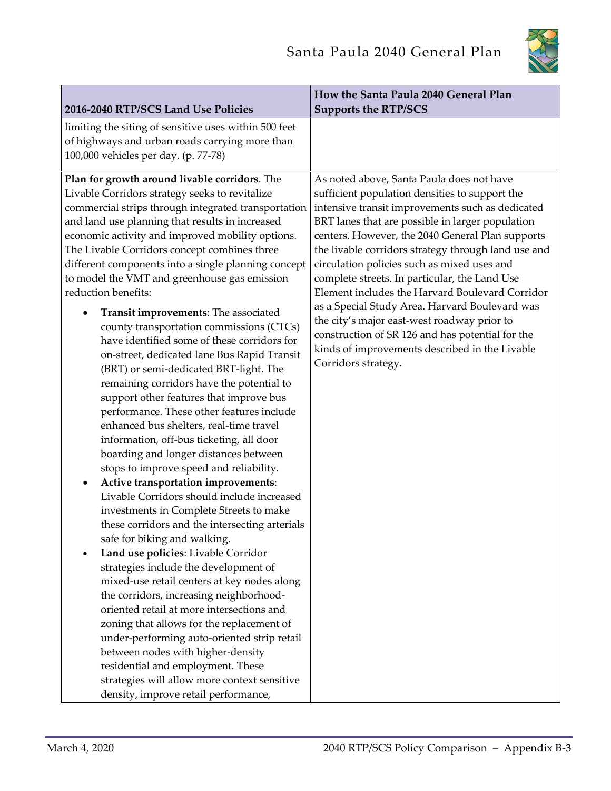

|                                                                                                                                                                                                                                                                                                                                                                                                                                                                                                                                                                                                                                                                                                                                                                                                                                                                                                                                                                                                                                                                                                                                                                                                                                                                                                                                                                                                                                                                                                                                                                                                                                                                                                             | How the Santa Paula 2040 General Plan                                                                                                                                                                                                                                                                                                                                                                                                                                                                                                                                                                                                                                                           |
|-------------------------------------------------------------------------------------------------------------------------------------------------------------------------------------------------------------------------------------------------------------------------------------------------------------------------------------------------------------------------------------------------------------------------------------------------------------------------------------------------------------------------------------------------------------------------------------------------------------------------------------------------------------------------------------------------------------------------------------------------------------------------------------------------------------------------------------------------------------------------------------------------------------------------------------------------------------------------------------------------------------------------------------------------------------------------------------------------------------------------------------------------------------------------------------------------------------------------------------------------------------------------------------------------------------------------------------------------------------------------------------------------------------------------------------------------------------------------------------------------------------------------------------------------------------------------------------------------------------------------------------------------------------------------------------------------------------|-------------------------------------------------------------------------------------------------------------------------------------------------------------------------------------------------------------------------------------------------------------------------------------------------------------------------------------------------------------------------------------------------------------------------------------------------------------------------------------------------------------------------------------------------------------------------------------------------------------------------------------------------------------------------------------------------|
| 2016-2040 RTP/SCS Land Use Policies                                                                                                                                                                                                                                                                                                                                                                                                                                                                                                                                                                                                                                                                                                                                                                                                                                                                                                                                                                                                                                                                                                                                                                                                                                                                                                                                                                                                                                                                                                                                                                                                                                                                         | <b>Supports the RTP/SCS</b>                                                                                                                                                                                                                                                                                                                                                                                                                                                                                                                                                                                                                                                                     |
| limiting the siting of sensitive uses within 500 feet<br>of highways and urban roads carrying more than<br>100,000 vehicles per day. (p. 77-78)                                                                                                                                                                                                                                                                                                                                                                                                                                                                                                                                                                                                                                                                                                                                                                                                                                                                                                                                                                                                                                                                                                                                                                                                                                                                                                                                                                                                                                                                                                                                                             |                                                                                                                                                                                                                                                                                                                                                                                                                                                                                                                                                                                                                                                                                                 |
| Plan for growth around livable corridors. The<br>Livable Corridors strategy seeks to revitalize<br>commercial strips through integrated transportation<br>and land use planning that results in increased<br>economic activity and improved mobility options.<br>The Livable Corridors concept combines three<br>different components into a single planning concept<br>to model the VMT and greenhouse gas emission<br>reduction benefits:<br>Transit improvements: The associated<br>county transportation commissions (CTCs)<br>have identified some of these corridors for<br>on-street, dedicated lane Bus Rapid Transit<br>(BRT) or semi-dedicated BRT-light. The<br>remaining corridors have the potential to<br>support other features that improve bus<br>performance. These other features include<br>enhanced bus shelters, real-time travel<br>information, off-bus ticketing, all door<br>boarding and longer distances between<br>stops to improve speed and reliability.<br>Active transportation improvements:<br>$\bullet$<br>Livable Corridors should include increased<br>investments in Complete Streets to make<br>these corridors and the intersecting arterials<br>safe for biking and walking.<br>Land use policies: Livable Corridor<br>strategies include the development of<br>mixed-use retail centers at key nodes along<br>the corridors, increasing neighborhood-<br>oriented retail at more intersections and<br>zoning that allows for the replacement of<br>under-performing auto-oriented strip retail<br>between nodes with higher-density<br>residential and employment. These<br>strategies will allow more context sensitive<br>density, improve retail performance, | As noted above, Santa Paula does not have<br>sufficient population densities to support the<br>intensive transit improvements such as dedicated<br>BRT lanes that are possible in larger population<br>centers. However, the 2040 General Plan supports<br>the livable corridors strategy through land use and<br>circulation policies such as mixed uses and<br>complete streets. In particular, the Land Use<br>Element includes the Harvard Boulevard Corridor<br>as a Special Study Area. Harvard Boulevard was<br>the city's major east-west roadway prior to<br>construction of SR 126 and has potential for the<br>kinds of improvements described in the Livable<br>Corridors strategy. |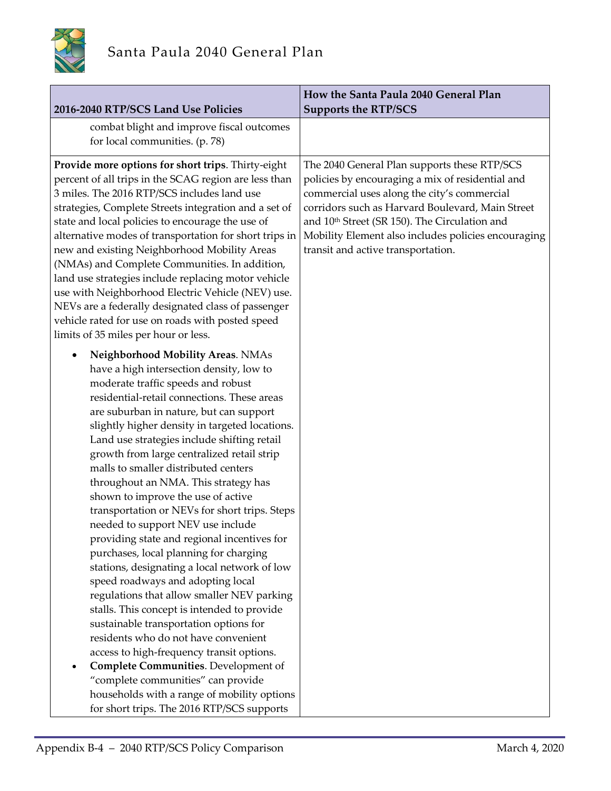

| 2016-2040 RTP/SCS Land Use Policies                                                                                                                                                                                                                                                                                                                                                                                                                                                                                                                                                                                                                                                                                                                                                                                                                                                                                                                                                                                                                                        | How the Santa Paula 2040 General Plan<br><b>Supports the RTP/SCS</b>                                                                                                                                                                                                                                                                                          |
|----------------------------------------------------------------------------------------------------------------------------------------------------------------------------------------------------------------------------------------------------------------------------------------------------------------------------------------------------------------------------------------------------------------------------------------------------------------------------------------------------------------------------------------------------------------------------------------------------------------------------------------------------------------------------------------------------------------------------------------------------------------------------------------------------------------------------------------------------------------------------------------------------------------------------------------------------------------------------------------------------------------------------------------------------------------------------|---------------------------------------------------------------------------------------------------------------------------------------------------------------------------------------------------------------------------------------------------------------------------------------------------------------------------------------------------------------|
| combat blight and improve fiscal outcomes<br>for local communities. (p. 78)                                                                                                                                                                                                                                                                                                                                                                                                                                                                                                                                                                                                                                                                                                                                                                                                                                                                                                                                                                                                |                                                                                                                                                                                                                                                                                                                                                               |
| Provide more options for short trips. Thirty-eight<br>percent of all trips in the SCAG region are less than<br>3 miles. The 2016 RTP/SCS includes land use<br>strategies, Complete Streets integration and a set of<br>state and local policies to encourage the use of<br>alternative modes of transportation for short trips in<br>new and existing Neighborhood Mobility Areas<br>(NMAs) and Complete Communities. In addition,<br>land use strategies include replacing motor vehicle<br>use with Neighborhood Electric Vehicle (NEV) use.<br>NEVs are a federally designated class of passenger<br>vehicle rated for use on roads with posted speed<br>limits of 35 miles per hour or less.<br>Neighborhood Mobility Areas. NMAs                                                                                                                                                                                                                                                                                                                                      | The 2040 General Plan supports these RTP/SCS<br>policies by encouraging a mix of residential and<br>commercial uses along the city's commercial<br>corridors such as Harvard Boulevard, Main Street<br>and 10 <sup>th</sup> Street (SR 150). The Circulation and<br>Mobility Element also includes policies encouraging<br>transit and active transportation. |
| have a high intersection density, low to<br>moderate traffic speeds and robust<br>residential-retail connections. These areas<br>are suburban in nature, but can support<br>slightly higher density in targeted locations.<br>Land use strategies include shifting retail<br>growth from large centralized retail strip<br>malls to smaller distributed centers<br>throughout an NMA. This strategy has<br>shown to improve the use of active<br>transportation or NEVs for short trips. Steps<br>needed to support NEV use include<br>providing state and regional incentives for<br>purchases, local planning for charging<br>stations, designating a local network of low<br>speed roadways and adopting local<br>regulations that allow smaller NEV parking<br>stalls. This concept is intended to provide<br>sustainable transportation options for<br>residents who do not have convenient<br>access to high-frequency transit options.<br>Complete Communities. Development of<br>"complete communities" can provide<br>households with a range of mobility options |                                                                                                                                                                                                                                                                                                                                                               |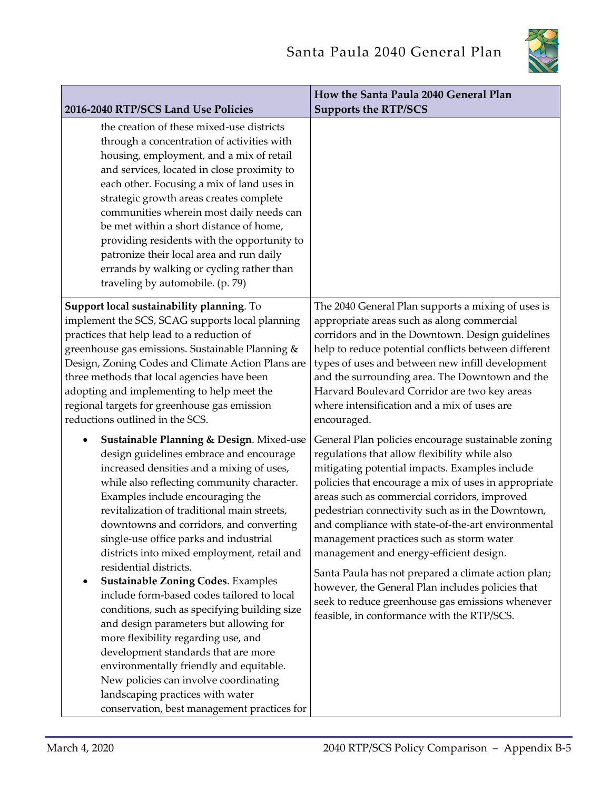

|                                                                                                                                                                                                                                                                                                                                                                                                                                                                                                                                                                                                                                                                                                                                                                                                                                                                           | How the Santa Paula 2040 General Plan                                                                                                                                                                                                                                                                                                                                                                                                                                                                                                                                                                                                                                       |
|---------------------------------------------------------------------------------------------------------------------------------------------------------------------------------------------------------------------------------------------------------------------------------------------------------------------------------------------------------------------------------------------------------------------------------------------------------------------------------------------------------------------------------------------------------------------------------------------------------------------------------------------------------------------------------------------------------------------------------------------------------------------------------------------------------------------------------------------------------------------------|-----------------------------------------------------------------------------------------------------------------------------------------------------------------------------------------------------------------------------------------------------------------------------------------------------------------------------------------------------------------------------------------------------------------------------------------------------------------------------------------------------------------------------------------------------------------------------------------------------------------------------------------------------------------------------|
| 2016-2040 RTP/SCS Land Use Policies                                                                                                                                                                                                                                                                                                                                                                                                                                                                                                                                                                                                                                                                                                                                                                                                                                       | <b>Supports the RTP/SCS</b>                                                                                                                                                                                                                                                                                                                                                                                                                                                                                                                                                                                                                                                 |
| the creation of these mixed-use districts<br>through a concentration of activities with<br>housing, employment, and a mix of retail<br>and services, located in close proximity to<br>each other. Focusing a mix of land uses in<br>strategic growth areas creates complete<br>communities wherein most daily needs can<br>be met within a short distance of home,<br>providing residents with the opportunity to<br>patronize their local area and run daily<br>errands by walking or cycling rather than<br>traveling by automobile. (p. 79)                                                                                                                                                                                                                                                                                                                            |                                                                                                                                                                                                                                                                                                                                                                                                                                                                                                                                                                                                                                                                             |
| Support local sustainability planning. To<br>implement the SCS, SCAG supports local planning<br>practices that help lead to a reduction of<br>greenhouse gas emissions. Sustainable Planning &<br>Design, Zoning Codes and Climate Action Plans are<br>three methods that local agencies have been<br>adopting and implementing to help meet the<br>regional targets for greenhouse gas emission<br>reductions outlined in the SCS.                                                                                                                                                                                                                                                                                                                                                                                                                                       | The 2040 General Plan supports a mixing of uses is<br>appropriate areas such as along commercial<br>corridors and in the Downtown. Design guidelines<br>help to reduce potential conflicts between different<br>types of uses and between new infill development<br>and the surrounding area. The Downtown and the<br>Harvard Boulevard Corridor are two key areas<br>where intensification and a mix of uses are<br>encouraged.                                                                                                                                                                                                                                            |
| Sustainable Planning & Design. Mixed-use<br>design guidelines embrace and encourage<br>increased densities and a mixing of uses,<br>while also reflecting community character.<br>Examples include encouraging the<br>revitalization of traditional main streets,<br>downtowns and corridors, and converting<br>single-use office parks and industrial<br>districts into mixed employment, retail and<br>residential districts.<br><b>Sustainable Zoning Codes. Examples</b><br>include form-based codes tailored to local<br>conditions, such as specifying building size<br>and design parameters but allowing for<br>more flexibility regarding use, and<br>development standards that are more<br>environmentally friendly and equitable.<br>New policies can involve coordinating<br>landscaping practices with water<br>conservation, best management practices for | General Plan policies encourage sustainable zoning<br>regulations that allow flexibility while also<br>mitigating potential impacts. Examples include<br>policies that encourage a mix of uses in appropriate<br>areas such as commercial corridors, improved<br>pedestrian connectivity such as in the Downtown,<br>and compliance with state-of-the-art environmental<br>management practices such as storm water<br>management and energy-efficient design.<br>Santa Paula has not prepared a climate action plan;<br>however, the General Plan includes policies that<br>seek to reduce greenhouse gas emissions whenever<br>feasible, in conformance with the RTP/SCS. |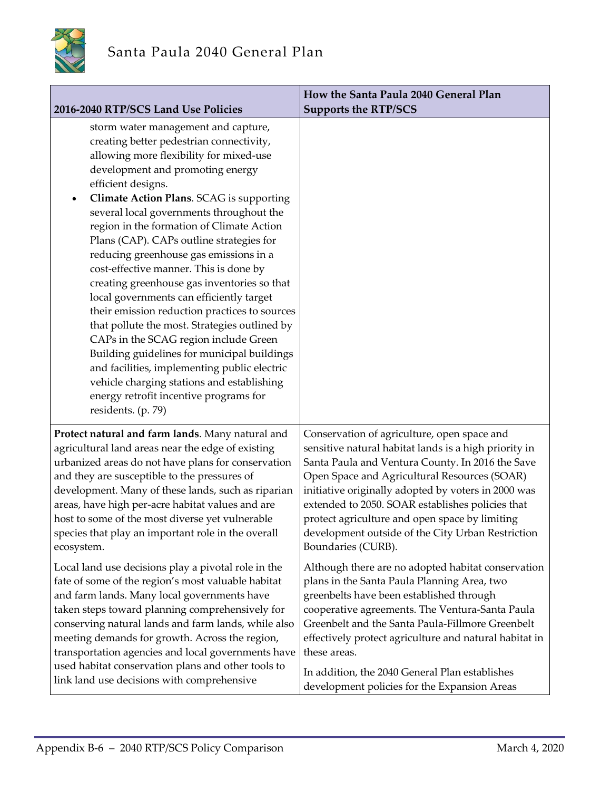

| 2016-2040 RTP/SCS Land Use Policies                                                                                                                                                                                                                                                                                                                                                                                                                                                                                                                                                                                                                                                                                                                                                                                                                                                                                       | How the Santa Paula 2040 General Plan<br><b>Supports the RTP/SCS</b> |
|---------------------------------------------------------------------------------------------------------------------------------------------------------------------------------------------------------------------------------------------------------------------------------------------------------------------------------------------------------------------------------------------------------------------------------------------------------------------------------------------------------------------------------------------------------------------------------------------------------------------------------------------------------------------------------------------------------------------------------------------------------------------------------------------------------------------------------------------------------------------------------------------------------------------------|----------------------------------------------------------------------|
| storm water management and capture,<br>creating better pedestrian connectivity,<br>allowing more flexibility for mixed-use<br>development and promoting energy<br>efficient designs.<br>Climate Action Plans. SCAG is supporting<br>$\bullet$<br>several local governments throughout the<br>region in the formation of Climate Action<br>Plans (CAP). CAPs outline strategies for<br>reducing greenhouse gas emissions in a<br>cost-effective manner. This is done by<br>creating greenhouse gas inventories so that<br>local governments can efficiently target<br>their emission reduction practices to sources<br>that pollute the most. Strategies outlined by<br>CAPs in the SCAG region include Green<br>Building guidelines for municipal buildings<br>and facilities, implementing public electric<br>vehicle charging stations and establishing<br>energy retrofit incentive programs for<br>residents. (p. 79) |                                                                      |
| Protect natural and farm lands. Many natural and                                                                                                                                                                                                                                                                                                                                                                                                                                                                                                                                                                                                                                                                                                                                                                                                                                                                          | Conservation of agriculture, open space and                          |
| agricultural land areas near the edge of existing                                                                                                                                                                                                                                                                                                                                                                                                                                                                                                                                                                                                                                                                                                                                                                                                                                                                         | sensitive natural habitat lands is a high priority in                |
| urbanized areas do not have plans for conservation                                                                                                                                                                                                                                                                                                                                                                                                                                                                                                                                                                                                                                                                                                                                                                                                                                                                        | Santa Paula and Ventura County. In 2016 the Save                     |
| and they are susceptible to the pressures of                                                                                                                                                                                                                                                                                                                                                                                                                                                                                                                                                                                                                                                                                                                                                                                                                                                                              | Open Space and Agricultural Resources (SOAR)                         |
| development. Many of these lands, such as riparian                                                                                                                                                                                                                                                                                                                                                                                                                                                                                                                                                                                                                                                                                                                                                                                                                                                                        | initiative originally adopted by voters in 2000 was                  |
| areas, have high per-acre habitat values and are                                                                                                                                                                                                                                                                                                                                                                                                                                                                                                                                                                                                                                                                                                                                                                                                                                                                          | extended to 2050. SOAR establishes policies that                     |
| host to some of the most diverse yet vulnerable                                                                                                                                                                                                                                                                                                                                                                                                                                                                                                                                                                                                                                                                                                                                                                                                                                                                           | protect agriculture and open space by limiting                       |
| species that play an important role in the overall                                                                                                                                                                                                                                                                                                                                                                                                                                                                                                                                                                                                                                                                                                                                                                                                                                                                        | development outside of the City Urban Restriction                    |
| ecosystem.                                                                                                                                                                                                                                                                                                                                                                                                                                                                                                                                                                                                                                                                                                                                                                                                                                                                                                                | Boundaries (CURB).                                                   |
| Local land use decisions play a pivotal role in the                                                                                                                                                                                                                                                                                                                                                                                                                                                                                                                                                                                                                                                                                                                                                                                                                                                                       | Although there are no adopted habitat conservation                   |
| fate of some of the region's most valuable habitat                                                                                                                                                                                                                                                                                                                                                                                                                                                                                                                                                                                                                                                                                                                                                                                                                                                                        | plans in the Santa Paula Planning Area, two                          |
| and farm lands. Many local governments have                                                                                                                                                                                                                                                                                                                                                                                                                                                                                                                                                                                                                                                                                                                                                                                                                                                                               | greenbelts have been established through                             |
| taken steps toward planning comprehensively for                                                                                                                                                                                                                                                                                                                                                                                                                                                                                                                                                                                                                                                                                                                                                                                                                                                                           | cooperative agreements. The Ventura-Santa Paula                      |
| conserving natural lands and farm lands, while also                                                                                                                                                                                                                                                                                                                                                                                                                                                                                                                                                                                                                                                                                                                                                                                                                                                                       | Greenbelt and the Santa Paula-Fillmore Greenbelt                     |
| meeting demands for growth. Across the region,                                                                                                                                                                                                                                                                                                                                                                                                                                                                                                                                                                                                                                                                                                                                                                                                                                                                            | effectively protect agriculture and natural habitat in               |
| transportation agencies and local governments have                                                                                                                                                                                                                                                                                                                                                                                                                                                                                                                                                                                                                                                                                                                                                                                                                                                                        | these areas.                                                         |
| used habitat conservation plans and other tools to                                                                                                                                                                                                                                                                                                                                                                                                                                                                                                                                                                                                                                                                                                                                                                                                                                                                        | In addition, the 2040 General Plan establishes                       |
| link land use decisions with comprehensive                                                                                                                                                                                                                                                                                                                                                                                                                                                                                                                                                                                                                                                                                                                                                                                                                                                                                | development policies for the Expansion Areas                         |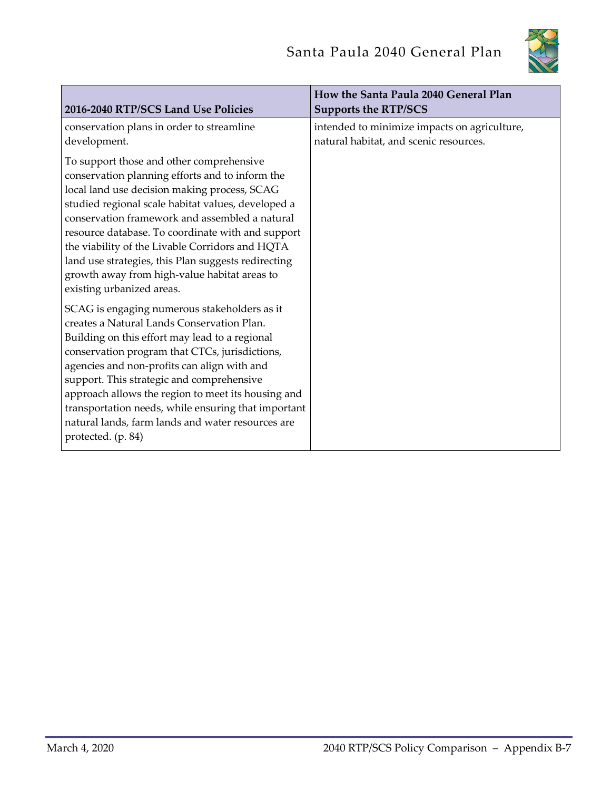

| 2016-2040 RTP/SCS Land Use Policies                 | How the Santa Paula 2040 General Plan<br><b>Supports the RTP/SCS</b> |
|-----------------------------------------------------|----------------------------------------------------------------------|
| conservation plans in order to streamline           | intended to minimize impacts on agriculture,                         |
| development.                                        | natural habitat, and scenic resources.                               |
| To support those and other comprehensive            |                                                                      |
| conservation planning efforts and to inform the     |                                                                      |
| local land use decision making process, SCAG        |                                                                      |
| studied regional scale habitat values, developed a  |                                                                      |
| conservation framework and assembled a natural      |                                                                      |
| resource database. To coordinate with and support   |                                                                      |
| the viability of the Livable Corridors and HQTA     |                                                                      |
| land use strategies, this Plan suggests redirecting |                                                                      |
| growth away from high-value habitat areas to        |                                                                      |
| existing urbanized areas.                           |                                                                      |
| SCAG is engaging numerous stakeholders as it        |                                                                      |
| creates a Natural Lands Conservation Plan.          |                                                                      |
| Building on this effort may lead to a regional      |                                                                      |
| conservation program that CTCs, jurisdictions,      |                                                                      |
| agencies and non-profits can align with and         |                                                                      |
| support. This strategic and comprehensive           |                                                                      |
| approach allows the region to meet its housing and  |                                                                      |
| transportation needs, while ensuring that important |                                                                      |
| natural lands, farm lands and water resources are   |                                                                      |
| protected. (p. 84)                                  |                                                                      |